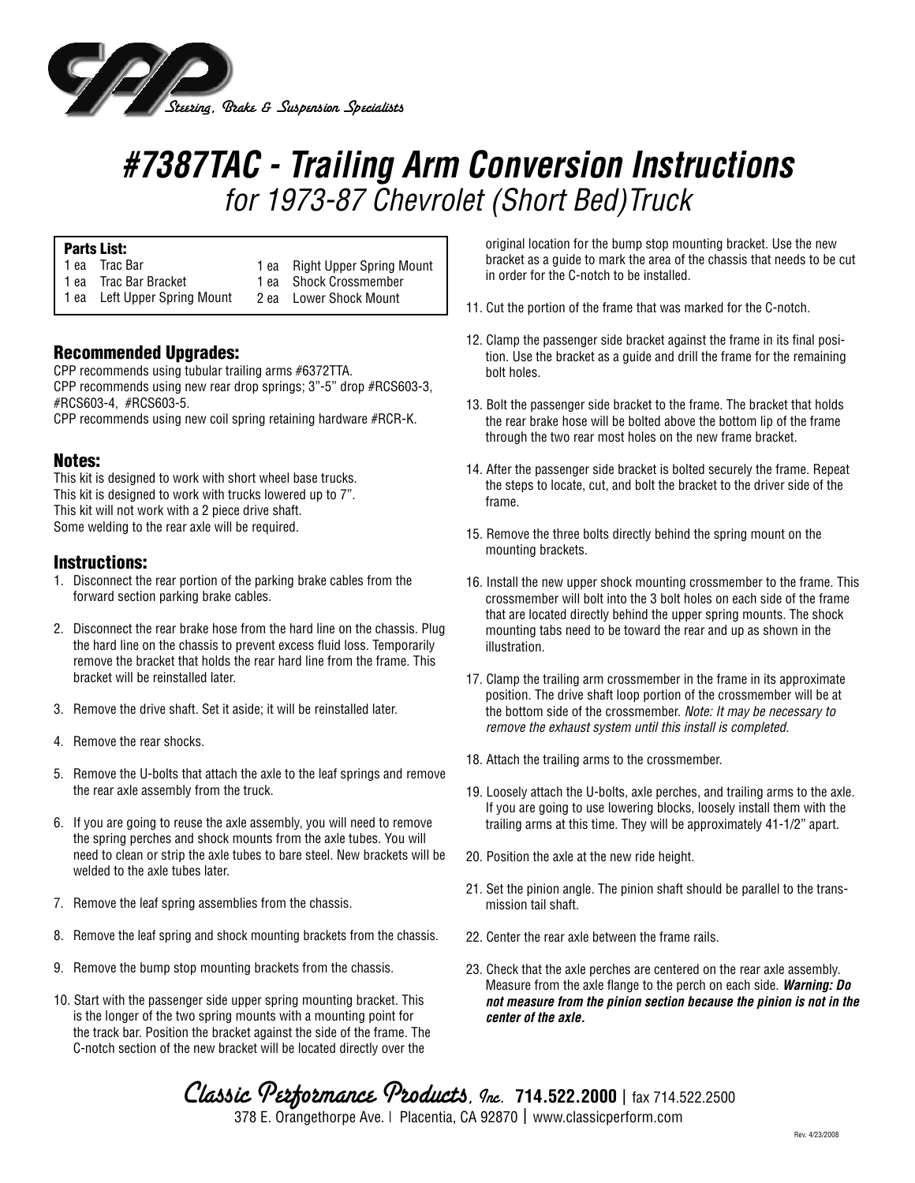

## *#7387TAC - Trailing Arm Conversion Instructions for 1973-87 Chevrolet (Short Bed)Truck*

#### Parts List:

| 1 ea Trac Bar                | 1 ea Right Upper Spring Mount |
|------------------------------|-------------------------------|
| 1 ea Trac Bar Bracket        | 1 ea Shock Crossmember        |
| 1 ea Left Upper Spring Mount | 2 ea Lower Shock Mount        |

### Recommended Upgrades:

CPP recommends using tubular trailing arms #6372TTA. CPP recommends using new rear drop springs; 3"-5" drop #RCS603-3, #RCS603-4, #RCS603-5.

CPP recommends using new coil spring retaining hardware #RCR-K.

#### Notes:

This kit is designed to work with short wheel base trucks. This kit is designed to work with trucks lowered up to 7". This kit will not work with a 2 piece drive shaft. Some welding to the rear axle will be required.

#### Instructions:

- 1. Disconnect the rear portion of the parking brake cables from the forward section parking brake cables.
- 2. Disconnect the rear brake hose from the hard line on the chassis. Plug the hard line on the chassis to prevent excess fluid loss. Temporarily remove the bracket that holds the rear hard line from the frame. This bracket will be reinstalled later.
- 3. Remove the drive shaft. Set it aside; it will be reinstalled later.
- 4. Remove the rear shocks.
- 5. Remove the U-bolts that attach the axle to the leaf springs and remove the rear axle assembly from the truck.
- 6. If you are going to reuse the axle assembly, you will need to remove the spring perches and shock mounts from the axle tubes. You will need to clean or strip the axle tubes to bare steel. New brackets will be welded to the axle tubes later.
- 7. Remove the leaf spring assemblies from the chassis.
- 8. Remove the leaf spring and shock mounting brackets from the chassis.
- 9. Remove the bump stop mounting brackets from the chassis.
- 10. Start with the passenger side upper spring mounting bracket. This is the longer of the two spring mounts with a mounting point for the track bar. Position the bracket against the side of the frame. The C-notch section of the new bracket will be located directly over the

original location for the bump stop mounting bracket. Use the new bracket as a guide to mark the area of the chassis that needs to be cut in order for the C-notch to be installed.

- 11. Cut the portion of the frame that was marked for the C-notch.
- 12. Clamp the passenger side bracket against the frame in its final position. Use the bracket as a guide and drill the frame for the remaining bolt holes.
- 13. Bolt the passenger side bracket to the frame. The bracket that holds the rear brake hose will be bolted above the bottom lip of the frame through the two rear most holes on the new frame bracket.
- 14. After the passenger side bracket is bolted securely the frame. Repeat the steps to locate, cut, and bolt the bracket to the driver side of the frame.
- 15. Remove the three bolts directly behind the spring mount on the mounting brackets.
- 16. Install the new upper shock mounting crossmember to the frame. This crossmember will bolt into the 3 bolt holes on each side of the frame that are located directly behind the upper spring mounts. The shock mounting tabs need to be toward the rear and up as shown in the illustration.
- 17. Clamp the trailing arm crossmember in the frame in its approximate position. The drive shaft loop portion of the crossmember will be at the bottom side of the crossmember. *Note: It may be necessary to remove the exhaust system until this install is completed.*
- 18. Attach the trailing arms to the crossmember.
- 19. Loosely attach the U-bolts, axle perches, and trailing arms to the axle. If you are going to use lowering blocks, loosely install them with the trailing arms at this time. They will be approximately 41-1/2" apart.
- 20. Position the axle at the new ride height.
- 21. Set the pinion angle. The pinion shaft should be parallel to the transmission tail shaft.
- 22. Center the rear axle between the frame rails.
- 23. Check that the axle perches are centered on the rear axle assembly. Measure from the axle flange to the perch on each side. *Warning: Do not measure from the pinion section because the pinion is not in the center of the axle.*

Classic *Performance Products, Inc.* 714.522.2000 | fax 714.522.2500 378 E. Orangethorpe Ave. | Placentia, CA 92870 | www.classicperform.com